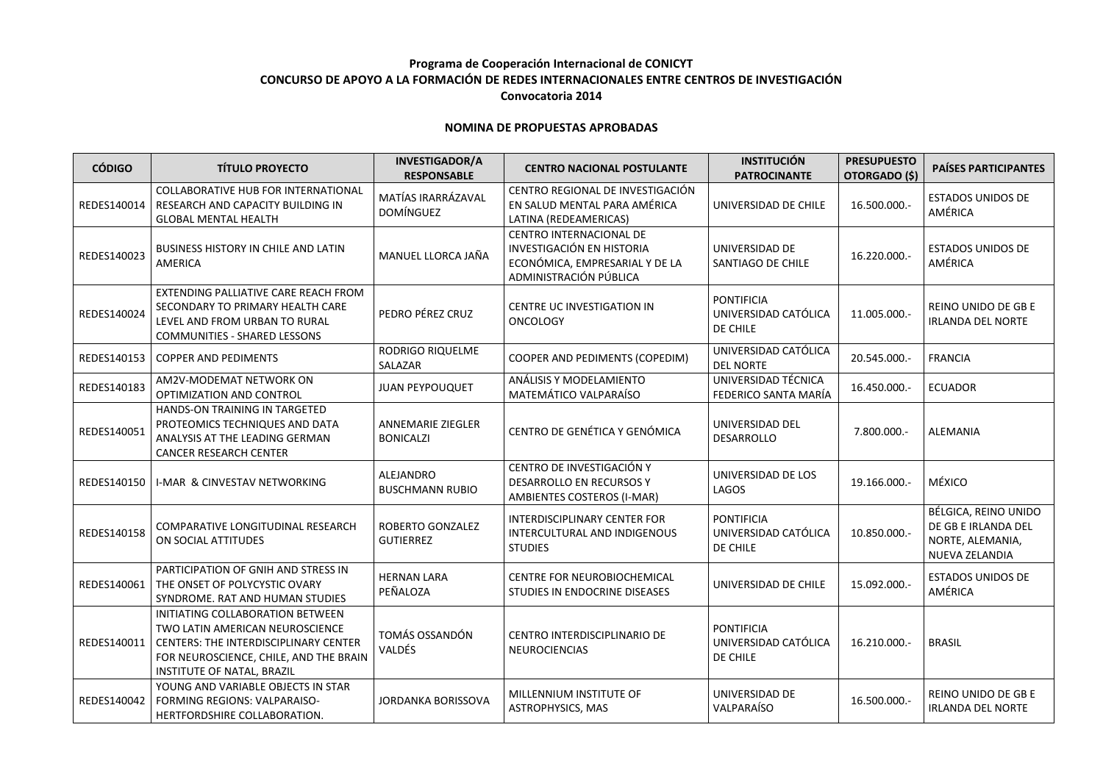## **Programa de Cooperación Internacional de CONICYT CONCURSO DE APOYO A LA FORMACIÓN DE REDES INTERNACIONALES ENTRE CENTROS DE INVESTIGACIÓN Convocatoria 2014**

## **NOMINA DE PROPUESTAS APROBADAS**

| <b>CÓDIGO</b> | <b>TÍTULO PROYECTO</b>                                                                                                                                                                      | <b>INVESTIGADOR/A</b><br><b>RESPONSABLE</b>  | <b>CENTRO NACIONAL POSTULANTE</b>                                                                                       | <b>INSTITUCIÓN</b><br><b>PATROCINANTE</b>             | <b>PRESUPUESTO</b><br>OTORGADO (\$) | <b>PAÍSES PARTICIPANTES</b>                                                       |
|---------------|---------------------------------------------------------------------------------------------------------------------------------------------------------------------------------------------|----------------------------------------------|-------------------------------------------------------------------------------------------------------------------------|-------------------------------------------------------|-------------------------------------|-----------------------------------------------------------------------------------|
| REDES140014   | COLLABORATIVE HUB FOR INTERNATIONAL<br>RESEARCH AND CAPACITY BUILDING IN<br><b>GLOBAL MENTAL HEALTH</b>                                                                                     | MATÍAS IRARRÁZAVAL<br><b>DOMÍNGUEZ</b>       | CENTRO REGIONAL DE INVESTIGACIÓN<br>EN SALUD MENTAL PARA AMÉRICA<br>LATINA (REDEAMERICAS)                               | UNIVERSIDAD DE CHILE                                  | 16.500.000.-                        | <b>ESTADOS UNIDOS DE</b><br>AMÉRICA                                               |
| REDES140023   | <b>BUSINESS HISTORY IN CHILE AND LATIN</b><br>AMERICA                                                                                                                                       | MANUEL LLORCA JAÑA                           | CENTRO INTERNACIONAL DE<br><b>INVESTIGACIÓN EN HISTORIA</b><br>ECONÓMICA, EMPRESARIAL Y DE LA<br>ADMINISTRACIÓN PÚBLICA | UNIVERSIDAD DE<br>SANTIAGO DE CHILE                   | 16.220.000.-                        | <b>ESTADOS UNIDOS DE</b><br>AMÉRICA                                               |
| REDES140024   | EXTENDING PALLIATIVE CARE REACH FROM<br>SECONDARY TO PRIMARY HEALTH CARE<br>LEVEL AND FROM URBAN TO RURAL<br>COMMUNITIES - SHARED LESSONS                                                   | PEDRO PÉREZ CRUZ                             | CENTRE UC INVESTIGATION IN<br><b>ONCOLOGY</b>                                                                           | <b>PONTIFICIA</b><br>UNIVERSIDAD CATÓLICA<br>DE CHILE | 11.005.000.-                        | REINO UNIDO DE GB E<br><b>IRLANDA DEL NORTE</b>                                   |
| REDES140153   | <b>COPPER AND PEDIMENTS</b>                                                                                                                                                                 | RODRIGO RIQUELME<br>SALAZAR                  | COOPER AND PEDIMENTS (COPEDIM)                                                                                          | UNIVERSIDAD CATÓLICA<br><b>DEL NORTE</b>              | 20.545.000 .-                       | <b>FRANCIA</b>                                                                    |
| REDES140183   | AM2V-MODEMAT NETWORK ON<br>OPTIMIZATION AND CONTROL                                                                                                                                         | <b>JUAN PEYPOUQUET</b>                       | ANÁLISIS Y MODELAMIENTO<br>MATEMÁTICO VALPARAÍSO                                                                        | UNIVERSIDAD TÉCNICA<br>FEDERICO SANTA MARÍA           | 16.450.000.-                        | <b>ECUADOR</b>                                                                    |
| REDES140051   | HANDS-ON TRAINING IN TARGETED<br>PROTEOMICS TECHNIQUES AND DATA<br>ANALYSIS AT THE LEADING GERMAN<br><b>CANCER RESEARCH CENTER</b>                                                          | <b>ANNEMARIE ZIEGLER</b><br><b>BONICALZI</b> | CENTRO DE GENÉTICA Y GENÓMICA                                                                                           | UNIVERSIDAD DEL<br><b>DESARROLLO</b>                  | 7.800.000 .-                        | ALEMANIA                                                                          |
| REDES140150   | <b>I-MAR &amp; CINVESTAV NETWORKING</b>                                                                                                                                                     | ALEJANDRO<br><b>BUSCHMANN RUBIO</b>          | CENTRO DE INVESTIGACIÓN Y<br><b>DESARROLLO EN RECURSOS Y</b><br>AMBIENTES COSTEROS (I-MAR)                              | UNIVERSIDAD DE LOS<br>LAGOS                           | 19.166.000.                         | MÉXICO                                                                            |
| REDES140158   | COMPARATIVE LONGITUDINAL RESEARCH<br>ON SOCIAL ATTITUDES                                                                                                                                    | ROBERTO GONZALEZ<br><b>GUTIERREZ</b>         | INTERDISCIPLINARY CENTER FOR<br>INTERCULTURAL AND INDIGENOUS<br><b>STUDIES</b>                                          | <b>PONTIFICIA</b><br>UNIVERSIDAD CATÓLICA<br>DE CHILE | 10.850.000.                         | BÉLGICA, REINO UNIDO<br>DE GB E IRLANDA DEL<br>NORTE, ALEMANIA,<br>NUEVA ZELANDIA |
| REDES140061   | PARTICIPATION OF GNIH AND STRESS IN<br>THE ONSET OF POLYCYSTIC OVARY<br>SYNDROME. RAT AND HUMAN STUDIES                                                                                     | <b>HERNAN LARA</b><br>PEÑALOZA               | CENTRE FOR NEUROBIOCHEMICAL<br>STUDIES IN ENDOCRINE DISEASES                                                            | UNIVERSIDAD DE CHILE                                  | 15.092.000.-                        | <b>ESTADOS UNIDOS DE</b><br>AMÉRICA                                               |
| REDES140011   | INITIATING COLLABORATION BETWEEN<br>TWO LATIN AMERICAN NEUROSCIENCE<br><b>CENTERS: THE INTERDISCIPLINARY CENTER</b><br>FOR NEUROSCIENCE, CHILE, AND THE BRAIN<br>INSTITUTE OF NATAL, BRAZIL | TOMÁS OSSANDÓN<br>VALDÉS                     | CENTRO INTERDISCIPLINARIO DE<br>NEUROCIENCIAS                                                                           | <b>PONTIFICIA</b><br>UNIVERSIDAD CATÓLICA<br>DE CHILE | 16.210.000.                         | <b>BRASIL</b>                                                                     |
| REDES140042   | YOUNG AND VARIABLE OBJECTS IN STAR<br>FORMING REGIONS: VALPARAISO-<br>HERTFORDSHIRE COLLABORATION.                                                                                          | JORDANKA BORISSOVA                           | MILLENNIUM INSTITUTE OF<br>ASTROPHYSICS, MAS                                                                            | UNIVERSIDAD DE<br>VALPARAÍSO                          | 16.500.000.-                        | REINO UNIDO DE GB E<br><b>IRLANDA DEL NORTE</b>                                   |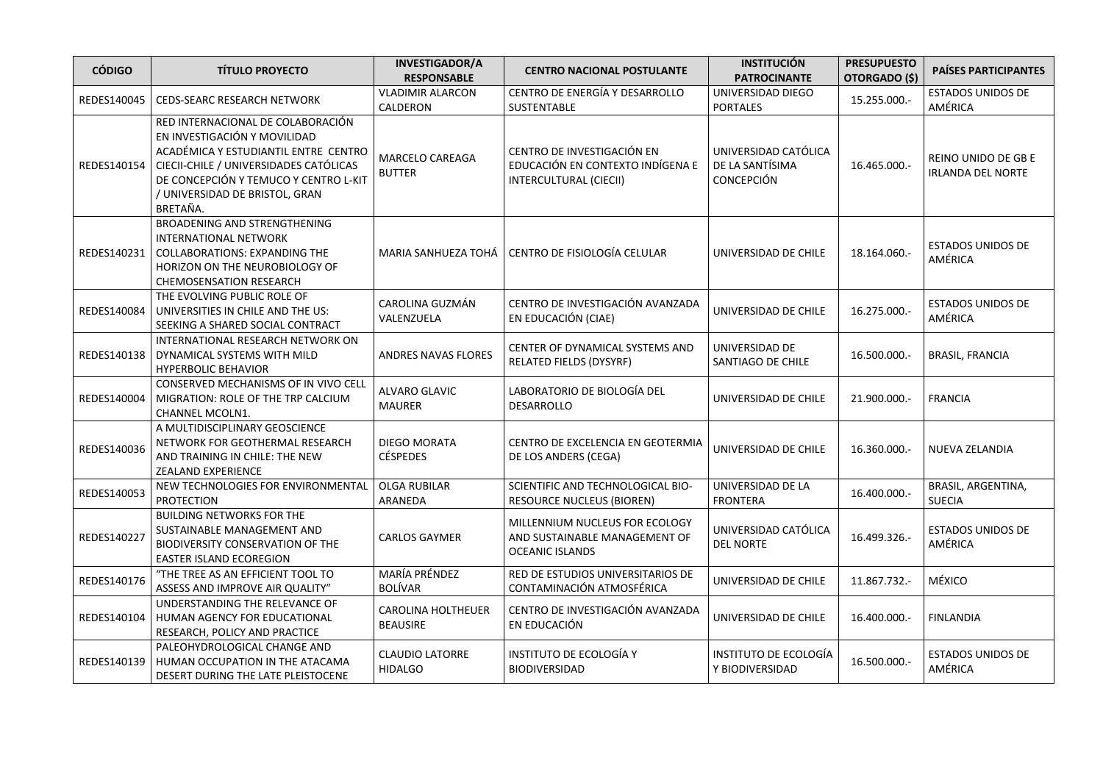| <b>CÓDIGO</b> | <b>TÍTULO PROYECTO</b>                                                                                                                                                                                                                     | <b>INVESTIGADOR/A</b><br><b>RESPONSABLE</b>  | <b>CENTRO NACIONAL POSTULANTE</b>                                                         | <b>INSTITUCIÓN</b><br><b>PATROCINANTE</b>                    | <b>PRESUPUESTO</b><br>OTORGADO (\$) | PAÍSES PARTICIPANTES                            |
|---------------|--------------------------------------------------------------------------------------------------------------------------------------------------------------------------------------------------------------------------------------------|----------------------------------------------|-------------------------------------------------------------------------------------------|--------------------------------------------------------------|-------------------------------------|-------------------------------------------------|
| REDES140045   | <b>CEDS-SEARC RESEARCH NETWORK</b>                                                                                                                                                                                                         | <b>VLADIMIR ALARCON</b><br>CALDERON          | CENTRO DE ENERGÍA Y DESARROLLO<br>SUSTENTABLE                                             | UNIVERSIDAD DIEGO<br><b>PORTALES</b>                         | 15.255.000 .-                       | <b>ESTADOS UNIDOS DE</b><br>AMÉRICA             |
| REDES140154   | RED INTERNACIONAL DE COLABORACIÓN<br>EN INVESTIGACIÓN Y MOVILIDAD<br>ACADÉMICA Y ESTUDIANTIL ENTRE CENTRO<br>CIECII-CHILE / UNIVERSIDADES CATÓLICAS<br>DE CONCEPCIÓN Y TEMUCO Y CENTRO L-KIT<br>/ UNIVERSIDAD DE BRISTOL, GRAN<br>BRETAÑA. | MARCELO CAREAGA<br><b>BUTTER</b>             | CENTRO DE INVESTIGACIÓN EN<br>EDUCACIÓN EN CONTEXTO INDÍGENA E<br>INTERCULTURAL (CIECII)  | UNIVERSIDAD CATÓLICA<br>DE LA SANTÍSIMA<br><b>CONCEPCIÓN</b> | 16.465.000.-                        | REINO UNIDO DE GB E<br><b>IRLANDA DEL NORTE</b> |
| REDES140231   | <b>BROADENING AND STRENGTHENING</b><br>INTERNATIONAL NETWORK<br><b>COLLABORATIONS: EXPANDING THE</b><br>HORIZON ON THE NEUROBIOLOGY OF<br>CHEMOSENSATION RESEARCH                                                                          | MARIA SANHUEZA TOHÁ                          | CENTRO DE FISIOLOGÍA CELULAR                                                              | UNIVERSIDAD DE CHILE                                         | 18.164.060.-                        | <b>ESTADOS UNIDOS DE</b><br>AMÉRICA             |
| REDES140084   | THE EVOLVING PUBLIC ROLE OF<br>UNIVERSITIES IN CHILE AND THE US:<br>SEEKING A SHARED SOCIAL CONTRACT                                                                                                                                       | CAROLINA GUZMÁN<br>VALENZUELA                | CENTRO DE INVESTIGACIÓN AVANZADA<br>EN EDUCACIÓN (CIAE)                                   | UNIVERSIDAD DE CHILE                                         | 16.275.000.-                        | <b>ESTADOS UNIDOS DE</b><br>AMÉRICA             |
| REDES140138   | INTERNATIONAL RESEARCH NETWORK ON<br>DYNAMICAL SYSTEMS WITH MILD<br><b>HYPERBOLIC BEHAVIOR</b>                                                                                                                                             | ANDRES NAVAS FLORES                          | CENTER OF DYNAMICAL SYSTEMS AND<br>RELATED FIELDS (DYSYRF)                                | UNIVERSIDAD DE<br>SANTIAGO DE CHILE                          | 16.500.000.-                        | <b>BRASIL, FRANCIA</b>                          |
| REDES140004   | CONSERVED MECHANISMS OF IN VIVO CELL<br>MIGRATION: ROLE OF THE TRP CALCIUM<br>CHANNEL MCOLN1.                                                                                                                                              | <b>ALVARO GLAVIC</b><br><b>MAURER</b>        | LABORATORIO DE BIOLOGÍA DEL<br><b>DESARROLLO</b>                                          | UNIVERSIDAD DE CHILE                                         | 21.900.000.-                        | <b>FRANCIA</b>                                  |
| REDES140036   | A MULTIDISCIPLINARY GEOSCIENCE<br>NETWORK FOR GEOTHERMAL RESEARCH<br>AND TRAINING IN CHILE: THE NEW<br><b>ZEALAND EXPERIENCE</b>                                                                                                           | <b>DIEGO MORATA</b><br><b>CÉSPEDES</b>       | CENTRO DE EXCELENCIA EN GEOTERMIA<br>DE LOS ANDERS (CEGA)                                 | UNIVERSIDAD DE CHILE                                         | 16.360.000.-                        | NUEVA ZELANDIA                                  |
| REDES140053   | NEW TECHNOLOGIES FOR ENVIRONMENTAL<br><b>PROTECTION</b>                                                                                                                                                                                    | <b>OLGA RUBILAR</b><br>ARANEDA               | SCIENTIFIC AND TECHNOLOGICAL BIO-<br><b>RESOURCE NUCLEUS (BIOREN)</b>                     | UNIVERSIDAD DE LA<br><b>FRONTERA</b>                         | 16.400.000.-                        | BRASIL, ARGENTINA,<br><b>SUECIA</b>             |
| REDES140227   | <b>BUILDING NETWORKS FOR THE</b><br>SUSTAINABLE MANAGEMENT AND<br>BIODIVERSITY CONSERVATION OF THE<br>EASTER ISLAND ECOREGION                                                                                                              | <b>CARLOS GAYMER</b>                         | MILLENNIUM NUCLEUS FOR ECOLOGY<br>AND SUSTAINABLE MANAGEMENT OF<br><b>OCEANIC ISLANDS</b> | UNIVERSIDAD CATÓLICA<br><b>DEL NORTE</b>                     | 16.499.326.-                        | <b>ESTADOS UNIDOS DE</b><br>AMÉRICA             |
| REDES140176   | "THE TREE AS AN EFFICIENT TOOL TO<br>ASSESS AND IMPROVE AIR QUALITY"                                                                                                                                                                       | <b>MARÍA PRÉNDEZ</b><br><b>BOLÍVAR</b>       | RED DE ESTUDIOS UNIVERSITARIOS DE<br>CONTAMINACIÓN ATMOSFÉRICA                            | UNIVERSIDAD DE CHILE                                         | 11.867.732.-                        | MÉXICO                                          |
| REDES140104   | UNDERSTANDING THE RELEVANCE OF<br>HUMAN AGENCY FOR EDUCATIONAL<br>RESEARCH, POLICY AND PRACTICE                                                                                                                                            | <b>CAROLINA HOLTHEUER</b><br><b>BEAUSIRE</b> | CENTRO DE INVESTIGACIÓN AVANZADA<br>EN EDUCACIÓN                                          | UNIVERSIDAD DE CHILE                                         | 16.400.000.-                        | <b>FINLANDIA</b>                                |
| REDES140139   | PALEOHYDROLOGICAL CHANGE AND<br>HUMAN OCCUPATION IN THE ATACAMA<br>DESERT DURING THE LATE PLEISTOCENE                                                                                                                                      | <b>CLAUDIO LATORRE</b><br><b>HIDALGO</b>     | INSTITUTO DE ECOLOGÍA Y<br><b>BIODIVERSIDAD</b>                                           | INSTITUTO DE ECOLOGÍA<br>Y BIODIVERSIDAD                     | 16.500.000.-                        | <b>ESTADOS UNIDOS DE</b><br>AMÉRICA             |